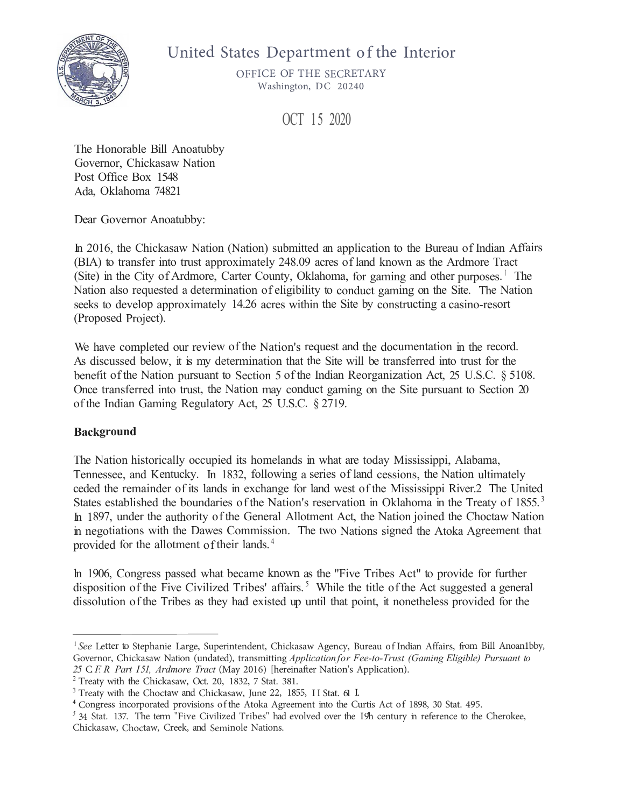

# United States Department of the Interior

OFFICE OF THE SECRETARY Washington, DC 20240

OCT 15 2020

The Honorable Bill Anoatubby Governor, Chickasaw Nation Post Office Box 1548 Ada, Oklahoma 74821

Dear Governor Anoatubby:

In 2016, the Chickasaw Nation (Nation) submitted an application to the Bureau of Indian Affairs (BIA) to transfer into trust approximately 248.09 acres of land known as the Ardmore Tract (Site) in the City of Ardmore, Carter County, Oklahoma, for gaming and other purposes.  $\perp$  The Nation also requested a determination of eligibility to conduct gaming on the Site. The Nation seeks to develop approximately 14.26 acres within the Site by constructing a casino-resort (Proposed Project).

We have completed our review of the Nation's request and the documentation in the record. As discussed below, it is my determination that the Site will be transferred into trust for the benefit of the Nation pursuant to Section 5 of the Indian Reorganization Act, 25 U.S.C. § 5108. Once transferred into trust, the Nation may conduct gaming on the Site pursuant to Section 20 of the Indian Gaming Regulatory Act, 25 U.S.C. § 2719.

# **Background**

The Nation historically occupied its homelands in what are today Mississippi, Alabama, Tennessee, and Kentucky. In 1832, following a series of land cessions, the Nation ultimately ceded the remainder of its lands in exchange for land west of the Mississippi River.2 The United States established the boundaries of the Nation's reservation in Oklahoma in the Treaty of 1855.<sup>3</sup> In 1897, under the authority of the General Allotment Act, the Nation joined the Choctaw Nation in negotiations with the Dawes Commission. The two Nations signed the Atoka Agreement that provided for the allotment of their lands. <sup>4</sup>

ln 1906, Congress passed what became known as the "Five Tribes Act" to provide for further disposition of the Five Civilized Tribes' affairs.<sup>5</sup> While the title of the Act suggested a general dissolution of the Tribes as they had existed up until that point, it nonetheless provided for the

<sup>&</sup>lt;sup>1</sup> See Letter to Stephanie Large, Superintendent, Chickasaw Agency, Bureau of Indian Affairs, from Bill Anoan1bby, Governor, Chickasaw Nation (undated), transmitting *Applicationfor Fee-to-Trust (Gaming Eligible) Pursuant to <sup>25</sup>* C. *F. R. Part I51, Ardmore Tract* (May 2016) [hereinafter Nation's Application).

<sup>&</sup>lt;sup>2</sup> Treaty with the Chickasaw, Oct. 20, 1832, 7 Stat. 381.

<sup>&</sup>lt;sup>3</sup> Treaty with the Choctaw and Chickasaw, June 22, 1855, 11 Stat. 611.

<sup>4</sup>Congress incorporated provisions of the Atoka Agreement into the Curtis Act of 1898, <sup>30</sup> Stat. 495.

<sup>&</sup>lt;sup>5</sup> 34 Stat. 137. The term <sup>"</sup>Five Civilized Tribes" had evolved over the 19th century in reference to the Cherokee, Chickasaw, Choctaw, Creek, and Seminole Nations.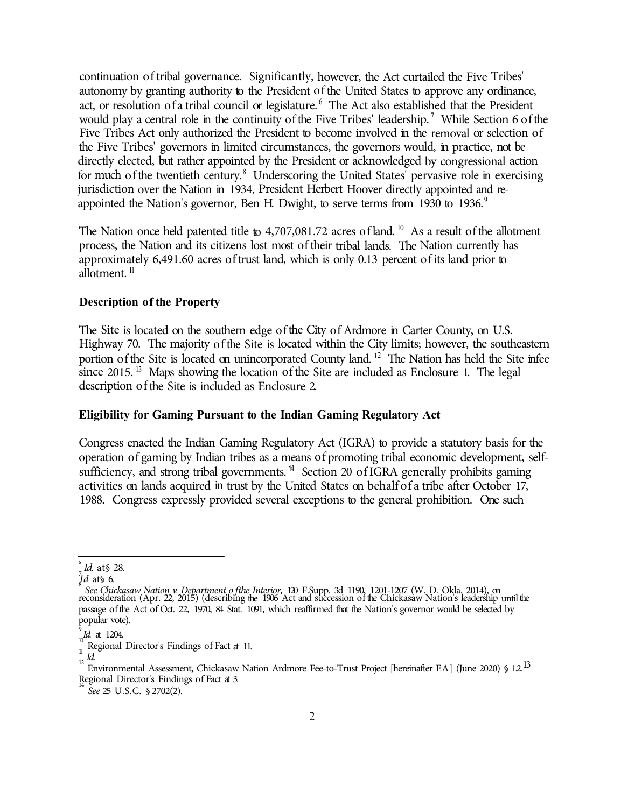continuation of tribal governance. Significantly, however, the Act curtailed the Five Tribes' autonomy by granting authority to the President of the United States to approve any ordinance, act, or resolution of a tribal council or legislature.<sup>6</sup> The Act also established that the President would play a central role in the continuity of the Five Tribes' leadership.<sup>7</sup> While Section 6 of the Five Tribes Act only authorized the President to become involved in the removal or selection of the Five Tribes' governors in limited circumstances, the governors would, in practice, not be directly elected, but rather appointed by the President or acknowledged by congressional action for much of the twentieth century. <sup>8</sup> Underscoring the United States' pervasive role in exercising jurisdiction over the Nation in 1934, President Herbert Hoover directly appointed and reappointed the Nation's governor, Ben H. Dwight, to serve terms from 1930 to 1936.<sup>9</sup>

The Nation once held patented title to 4,707,081.72 acres of land. <sup>10</sup> As a result of the allotment process, the Nation and its citizens lost most of their tribal lands. The Nation currently has approximately 6,491.60 acres of trust land, which is only 0.13 percent of its land prior to  $a\bar{b}$ lotment.<sup>11</sup>

## **Description of the Property**

The Site is located on the southern edge of the City of Ardmore in Carter County, on U.S. Highway 70. The majority of the Site is located within the City limits; however, the southeastern portion of the Site is located on unincorporated County land.<sup>12</sup> The Nation has held the Site infee since 2015.<sup>13</sup> Maps showing the location of the Site are included as Enclosure 1. The legal description of the Site is included as Enclosure 2.

## **Eligibility for Gaming Pursuant to the Indian Gaming Regulatory Act**

Congress enacted the Indian Gaming Regulatory Act (IGRA) to provide a statutory basis for the operation of gaming by Indian tribes as a means of promoting tribal economic development, selfsufficiency, and strong tribal governments.<sup> $14$ </sup> Section 20 of IGRA generally prohibits gaming activities on lands acquired in trust by the United States on behalf of a tribe after October 17, 1988. Congress expressly provided several exceptions to the general prohibition. One such

<sup>6</sup> *Id*. at § 28.

 $<sup>7</sup>$ *Id.* at § 6.</sup>

 $^8$  See Chickasaw Nation v. Department of the Interior, 120 F.Supp. 3d 1 190, 1201-1207 (W. D. Okla 2014), on reconsideration (Apr. 22, 2015) (describing the 1906 Act and succession of the Chickasaw Nation's leadership until the passageof the Act of Oct. 22, 1970, 84 Stat. 1091, which reaffirmed that the Nation's governor would be selected by popular vote).

<sup>9</sup> *Id*. at 1204.

<sup>10</sup> Regional Director's Findings of Fact at 11.

<sup>11</sup> *Id.*

<sup>&</sup>lt;sup>12</sup> Environmental Assessment, Chickasaw Nation Ardmore Fee-to-Trust Project [hereinafter EA] (June 2020) § 1.2

<sup>13</sup> Regional Director's Findings of Fact at 3.

 $14$  See 25 U.S.C. § 2702(2).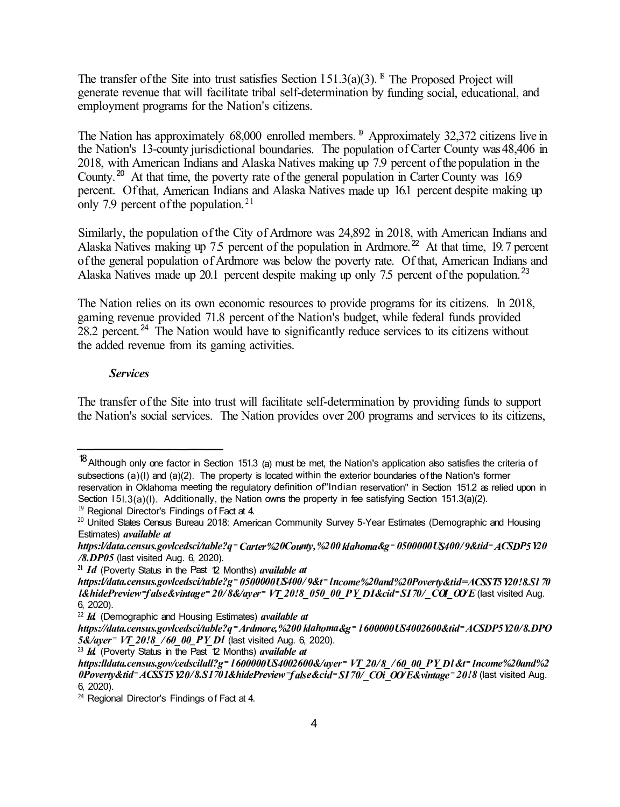

# 6 O J LAFLEB & F TO B S UPNOFF FOULL F S J P S

 $0''$  \* \$  $80'$  5 )  $8485385'3$ : 8 B T I J O H% P O

OCT 15 2020

The Honorable Bill Anoatubby Governor, Chickasaw Nation Post Office Box 1548 Ada, Oklahoma 74821

Dear Governor Anoatubby:

In 2016, the Chickasaw Nation (Nation) submitted an application to the Bureau of Indian Affairs (BIA) to transfer into trust approximately 248.09 acres of land known as the Ardmore Tract (Site) in the City of Ardmore, Carter County, Oklahoma, for gaming and other purposes.  $\perp$  The Nation also requested a determination of eligibility to conduct gaming on the Site. The Nation seeks to develop approximately 14.26 acres within the Site by constructing a casino-resort (Proposed Project).

We have completed our review of the Nation's request and the documentation in the record. As discussed below, it is my determination that the Site will be transferred into trust for the benefit of the Nation pursuant to Section 5 of the Indian Reorganization Act, 25 U.S.C. § 5108. Once transferred into trust, the Nation may conduct gaming on the Site pursuant to Section 20 of the Indian Gaming Regulatory Act, 25 U.S.C. § 2719.

Background

The Nation historically occupied its homelands in what are today Mississippi, Alabama, Tennessee, and Kentucky. In 1832, following a series of land cessions, the Nation ultimately ceded the remainder of its lands in exchange for land west of the Mississippi River.2 The United States established the boundaries of the Nation's reservation in Oklahoma in the Treaty of 1855.<sup>3</sup> In 1897, under the authority of the General Allotment Act, the Nation joined the Choctaw Nation in negotiations with the Dawes Commission. The two Nations signed the Atoka Agreement that provided for the allotment of their lands.<sup>4</sup>

In 1906, Congress passed what became known as the "Five Tribes Act" to provide for further disposition of the Five Civilized Tribes' affairs.<sup>5</sup> While the title of the Act suggested a general dissolution of the Tribes as they had existed up until that point, it nonetheless provided for the

25SFBKUZUI時1JDLBTBUX 4UBU

3 5 S F BKU ZUI I SI I P D UBBOXSI J D L B T B OX F 4UBU \$POHSIDDIPSQQPSBWFFEGEFFOUPL"BISFFNIDQUERSVSUDIDPG 4UBU

<sup>&</sup>lt;sup>1</sup>See - FUUPASU FQIBEOSUHATY QFSJO U\$ FLODELFEOTHUEFXO ED YZS FPB 1600 E J'BGOG BGJSSFPANJ MOMP BO CCZ (PWFS)DIRID L B/BBLXPOO E BUSE OT Application of Fee-to-Trust Gaming Eligible) Pursuant to <IFSFJØBUGJUPFOSIQ TMJDBUJPO 25 \$ F. R Part 151, Ardmore Tract . B Z

<sup>。&</sup>lt;br>\$IJDLB\$TEP>7OU\$SXFFBLOEIFNJOYBUNJFPOT<br>\$IJDLB\$TEP>7OU\$SXFFBLOEIFNJOYBUNJFPOT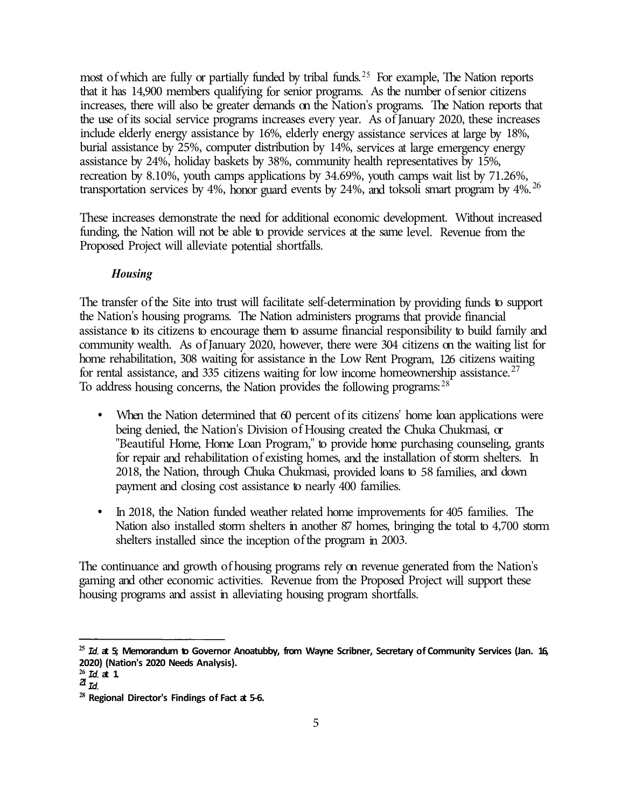most of which are fully or partially funded by tribal funds.<sup>25</sup> For example, The Nation reports that it has 14,900 members qualifying for senior programs. As the number of senior citizens increases, there will also be greater demands on the Nation's programs. The Nation reports that the use of its social service programs increases every year. As of January 2020, these increases include elderly energy assistance by 16%, elderly energy assistance services at large by 18%, burial assistance by 25%, computer distribution by 14%, services at large emergency energy assistance by 24%, holiday baskets by 38%, community health representatives by 15%, recreation by 8.10%, youth camps applications by 34.69%, youth camps wait list by 71.26%, transportation services by 4%, honor guard events by 24%, and toksoli smart program by 4%.<sup>26</sup>

These increases demonstrate the need for additional economic development. Without increased funding, the Nation will not be able to provide services at the same level. Revenue from the Proposed Project will alleviate potential shortfalls.

# *Housing*

The transfer of the Site into trust will facilitate self-determination by providing funds to support the Nation's housing programs. The Nation administers programs that provide financial assistance to its citizens to encourage them to assume financial responsibility to build family and community wealth. As of January 2020, however, there were 304 citizens on the waiting list for home rehabilitation, 308 waiting for assistance in the Low Rent Program, 126 citizens waiting for rental assistance, and 335 citizens waiting for low income homeownership assistance.<sup>27</sup> To address housing concerns, the Nation provides the following programs:  $28$ 

- When the Nation determined that 60 percent of its citizens' home loan applications were being denied, the Nation's Division of Housing created the Chuka Chukmasi, or "Beautiful Home, Home Loan Program," to provide home purchasing counseling, grants for repair and rehabilitation of existing homes, and the installation of storm shelters. In 2018, the Nation, through Chuka Chukmasi, provided loans to 58 families, and down payment and closing cost assistance to nearly 400 families.
- In 2018, the Nation funded weather related home improvements for 405 families. The Nation also installed storm shelters in another 87 homes, bringing the total to 4,700 storm shelters installed since the inception of the program in 2003.

The continuance and growth of housing programs rely on revenue generated from the Nation's gaming and other economic activities. Revenue from the Proposed Project will support these housing programs and assist in alleviating housing program shortfalls.

**<sup>25</sup>***Id.* **at 5; Memorandum to Governor Anoatubby, from Wayne Scribner, Secretary of Community Services (Jan. 16, 2020) (Nation's 2020 Needs Analysis).** 

**<sup>26</sup>***Id.* **at 1.** 

*<sup>21</sup> Id.*

**<sup>28</sup>Regional Director's Findings of Fact at 5-6.**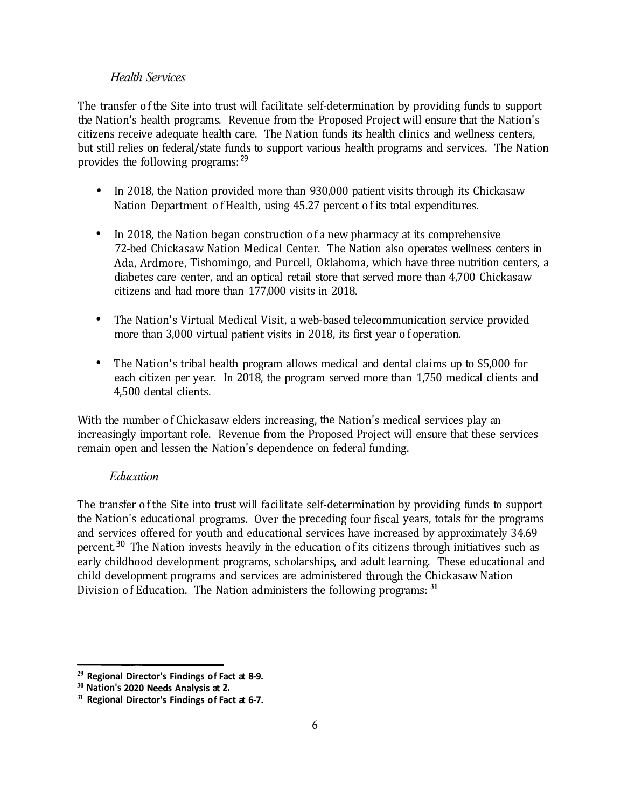## *Health Services*

The transfer of the Site into trust will facilitate self-determination by providing funds to support the Nation's health programs. Revenue from the Proposed Project will ensure that the Nation's citizens receive adequate health care. The Nation funds its health clinics and wellness centers, but still relies on federal/state funds to support various health programs and services. The Nation provides the following programs: <sup>29</sup>

- In 2018, the Nation provided more than 930,000 patient visits through its Chickasaw Nation Department of Health, using 45.27 percent of its total expenditures.
- In 2018, the Nation began construction of a new pharmacy at its comprehensive 72-bed Chickasaw Nation Medical Center. The Nation also operates wellness centers in Ada, Ardmore, Tishomingo, and Purcell, Oklahoma, which have three nutrition centers, a diabetes care center, and an optical retail store that served more than 4,700 Chickasaw citizens and had more than 177,000 visits in 2018.
- The Nation's Virtual Medical Visit, a web-based telecommunication service provided more than 3,000 virtual patient visits in 2018, its first year of operation.
- The Nation's tribal health program allows medical and dental claims up to \$5,000 for each citizen per year. In 2018, the program served more than 1,750 medical clients and 4,500 dental clients.

With the number of Chickasaw elders increasing, the Nation's medical services play an increasingly important role. Revenue from the Proposed Project will ensure that these services remain open and lessen the Nation's dependence on federal funding.

# *Education*

The transfer of the Site into trust will facilitate self-determination by providing funds to support the Nation's educational programs. Over the preceding four fiscal years, totals for the programs and services offered for youth and educational services have increased by approximately 34.69 percent.<sup>30</sup> The Nation invests heavily in the education of its citizens through initiatives such as early childhood development programs, scholarships, and adult learning. These educational and child development programs and services are administered through the Chickasaw Nation Division of Education. The Nation administers the following programs: **<sup>31</sup>**

**<sup>29</sup>Regional Director's Findings of Fact at 8-9.** 

**<sup>30</sup>Nation's 2020 Needs Analysis at 2.** 

**<sup>31</sup>Regional Director's Findings of Fact at 6-7.**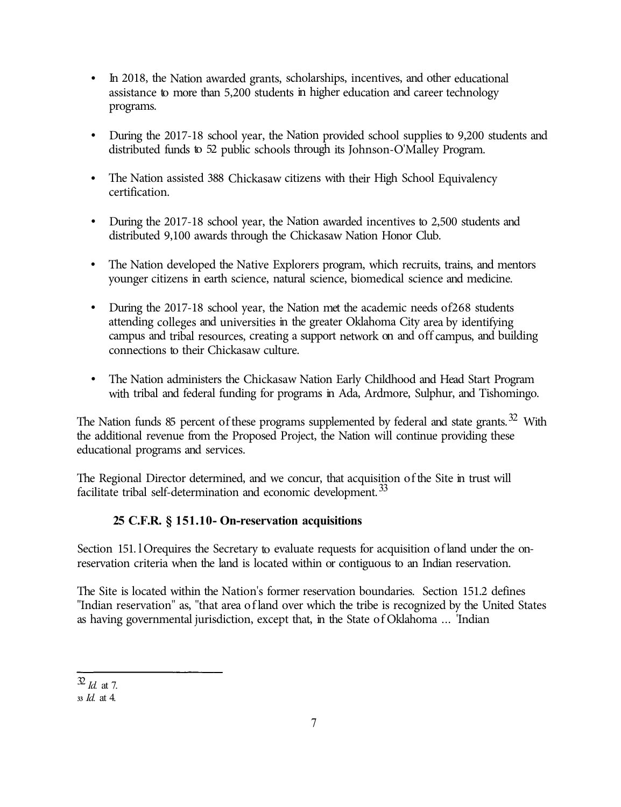- In 2018, the Nation awarded grants, scholarships, incentives, and other educational assistance to more than 5,200 students in higher education and career technology programs.
- During the 2017-18 school year, the Nation provided school supplies to 9,200 students and distributed funds to 52 public schools through its Johnson-O'Malley Program.
- The Nation assisted 388 Chickasaw citizens with their High School Equivalency certification.
- During the 2017-18 school year, the Nation awarded incentives to 2,500 students and distributed 9,100 awards through the Chickasaw Nation Honor Club.
- The Nation developed the Native Explorers program, which recruits, trains, and mentors younger citizens in earth science, natural science, biomedical science and medicine.
- During the 2017-18 school year, the Nation met the academic needs of 268 students attending colleges and universities in the greater Oklahoma City area by identifying campus and tribal resources, creating a support network on and off campus, and building connections to their Chickasaw culture.
- The Nation administers the Chickasaw Nation Early Childhood and Head Start Program with tribal and federal funding for programs in Ada, Ardmore, Sulphur, and Tishomingo.

The Nation funds 85 percent of these programs supplemented by federal and state grants.<sup>32</sup> With the additional revenue from the Proposed Project, the Nation will continue providing these educational programs and services.

The Regional Director determined, and we concur, that acquisition of the Site in trust will facilitate tribal self-determination and economic development.<sup>33</sup>

# **25 C.F.R. § 151.10- On-reservation acquisitions**

Section 151. l Orequires the Secretary to evaluate requests for acquisition of land under the onreservation criteria when the land is located within or contiguous to an Indian reservation.

The Site is located within the Nation's former reservation boundaries. Section 151.2 defines "Indian reservation" as, "that area of land over which the tribe is recognized by the United States as having governmental jurisdiction, except that, in the State of Oklahoma ... 'Indian

<sup>32</sup>*Id.* at 7.

**<sup>33</sup>***Id.* at 4.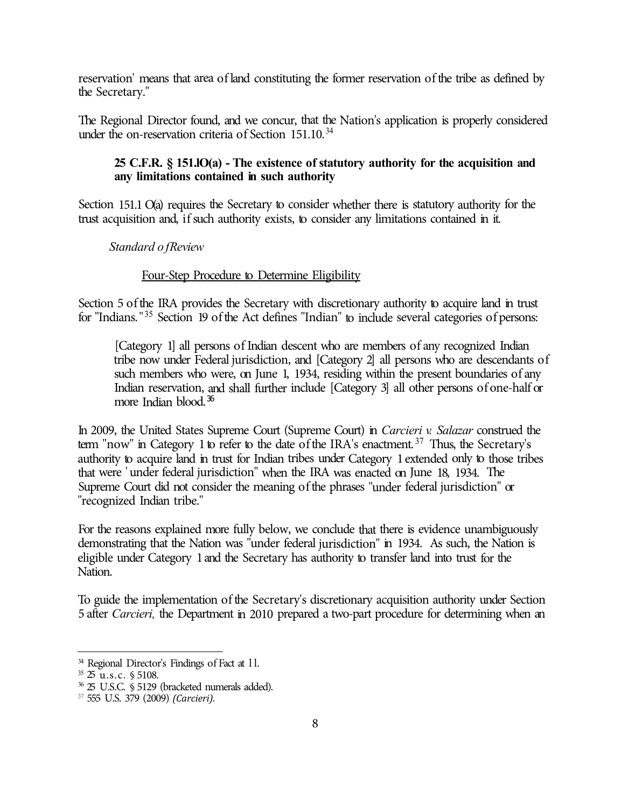reservation' means that area of land constituting the former reservation of the tribe as defined by the Secretary."

The Regional Director found, and we concur, that the Nation's application is properly considered under the on-reservation criteria of Section  $151.10.^{34}$ 

# **25 C.F.R. § 151.lO(a) - The existence of statutory authority for the acquisition and any limitations contained in such authority**

Section 151.1 O(a) requires the Secretary to consider whether there is statutory authority for the trust acquisition and, if such authority exists, to consider any limitations contained in it.

*Standard of Review* 

# Four-Step Procedure to Determine Eligibility

Section 5 of the IRA provides the Secretary with discretionary authority to acquire land in trust for "Indians."<sup>35</sup> Section 19 of the Act defines "Indian" to include several categories of persons:

[Category 1] all persons of Indian descent who are members of any recognized Indian tribe now under Federal jurisdiction, and [Category 2] all persons who are descendants of such members who were, on June 1, 1934, residing within the present boundaries of any Indian reservation, and shall further include [Category 3] all other persons of one-half or more Indian blood.<sup>36</sup>

In 2009, the United States Supreme Court (Supreme Court) in *Carcieri v. Salazar* construed the term "now" in Category 1 to refer to the date of the IRA's enactment.<sup>37</sup> Thus, the Secretary's authority to acquire land in trust for Indian tribes under Category 1 extended only to those tribes that were ' under federal jurisdiction" when the IRA was enacted on June 18, 1934. The Supreme Court did not consider the meaning of the phrases "under federal jurisdiction" or "recognized Indian tribe."

For the reasons explained more fully below, we conclude that there is evidence unambiguously demonstrating that the Nation was "under federal jurisdiction" in 1934. As such, the Nation is eligible under Category 1 and the Secretary has authority to transfer land into trust for the Nation.

To guide the implementation of the Secretary's discretionary acquisition authority under Section 5 after *Carcieri,* the Department in 2010 prepared a two-part procedure for determining when an

<sup>&</sup>lt;sup>34</sup> Regional Director's Findings of Fact at 11.

 $35\,25\,$  u.s.c. § 5108.

<sup>36</sup>25 U.S.C. § 5129 (bracketed numerals added).

<sup>37</sup>555 U.S. 379 (2009) *(Carcieri).*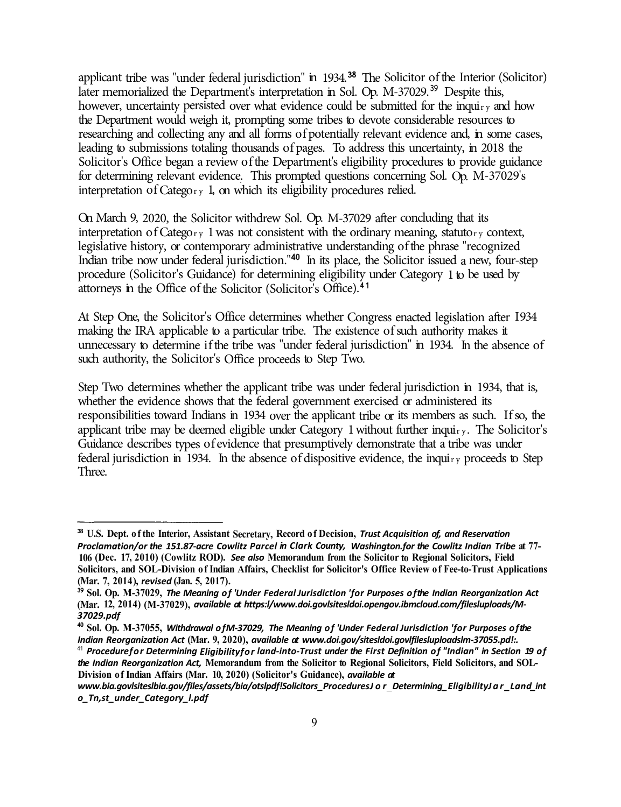applicant tribe was "under federal jurisdiction" in 1934.<sup>38</sup> The Solicitor of the Interior (Solicitor) later memorialized the Department's interpretation in Sol. Op.  $M-37029$ <sup>39</sup> Despite this, however, uncertainty persisted over what evidence could be submitted for the inquiry and how the Department would weigh it, prompting some tribes to devote considerable resources to researching and collecting any and all forms of potentially relevant evidence and, in some cases, leading to submissions totaling thousands of pages. To address this uncertainty, in 2018 the Solicitor's Office began a review of the Department's eligibility procedures to provide guidance for determining relevant evidence. This prompted questions concerning Sol. Op. M-37029's interpretation of Category 1, on which its eligibility procedures relied.

On March 9, 2020, the Solicitor withdrew Sol. Op. M-37029 after concluding that its interpretation of Category 1 was not consistent with the ordinary meaning, statutory context, legislative history, or contemporary administrative understanding of the phrase "recognized Indian tribe now under federal jurisdiction."<sup>40</sup> In its place, the Solicitor issued a new, four-step procedure (Solicitor's Guidance) for determining eligibility under Category 1 to be used by attorneys in the Office of the Solicitor (Solicitor's Office).<sup>4</sup> <sup>1</sup>

At Step One, the Solicitor's Office determines whether Congress enacted legislation after 1934 making the IRA applicable to a particular tribe. The existence of such authority makes it unnecessary to determine if the tribe was "under federal jurisdiction" in 1934. In the absence of such authority, the Solicitor's Office proceeds to Step Two.

Step Two determines whether the applicant tribe was under federal jurisdiction in 1934, that is, whether the evidence shows that the federal government exercised or administered its responsibilities toward Indians in 1934 over the applicant tribe or its members as such. If so, the applicant tribe may be deemed eligible under Category 1 without further inquiry. The Solicitor's Guidance describes types of evidence that presumptively demonstrate that a tribe was under federal jurisdiction in 1934. In the absence of dispositive evidence, the inquiry proceeds to Step Three.

**<sup>38</sup>U.S. Dept. of the Interior, Assistant Secretary, Record of Decision,** *Trust Acquisition of, and Reservation Proclamation/or the 151.87-acre Cowlitz Parcel in Clark County, Washington.for the Cowlitz Indian Tribe* **at 77- 106 (Dec. 17, 2010) (Cowlitz ROD).** *See also* **Memorandum from the Solicitor to Regional Solicitors, Field Solicitors, and SOL-Division of Indian Affairs, Checklist for Solicitor's Office Review of Fee-to-Trust Applications (Mar. 7, 2014 ),** *revised* **(Jan. 5, 2017).** 

**<sup>39</sup>Sol. Op. M-37029,** *The Meaning of 'Under Federal Jurisdiction 'for Purposes of the Indian Reorganization Act*  **(Mar. 12, 2014) (M-37029),** *available at https:l/www.doi.govlsitesldoi.opengov.ibmcloud.com/filesluploads/M-37029.pdf* 

**<sup>40</sup>Sol. Op. M-37055,** *Withdrawal of M-37029, The Meaning of 'Under Federal Jurisdiction 'for Purposes of the Indian Reorganization Act* **(Mar. 9, 2020),** *available at www.doi.gov/sitesldoi.govlfilesluploadslm-37055.pd!:.* 

<sup>41</sup>*Procedure for Determining Eligibility for land-into-Trust under the First Definition of "Indian" in Section 19 of the Indian Reorganization Act,* **Memorandum from the Solicitor to Regional Solicitors, Field Solicitors, and SOL-Division of Indian Affairs (Mar. 10, 2020) (Solicitor's Guidance),** *available at* 

*www.bia.govlsiteslbia.gov/files/assets/bia/otslpdf!Solicitors \_Procedures Jor* \_ *Determining\_ Eligibility Jar\_ Land \_int o\_Tn,st\_under\_Category\_l.pdf*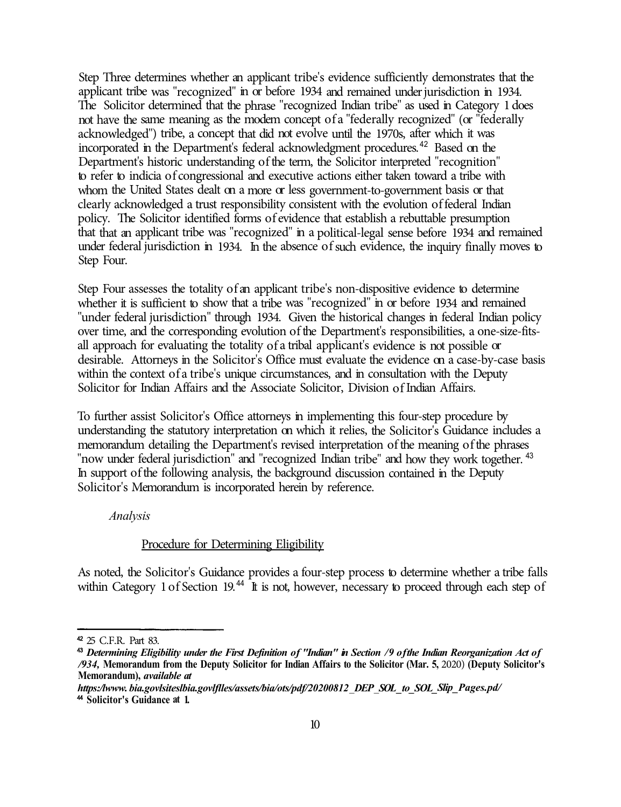Step Three determines whether an applicant tribe's evidence sufficiently demonstrates that the applicant tribe was "recognized" in or before 1934 and remained under jurisdiction in 1934. The Solicitor determined that the phrase "recognized Indian tribe" as used in Category 1 does not have the same meaning as the modem concept of a "federally recognized" ( or "federally acknowledged") tribe, a concept that did not evolve until the 1970s, after which it was incorporated in the Department's federal acknowledgment procedures.<sup>42</sup> Based on the Department's historic understanding of the term, the Solicitor interpreted "recognition" to refer to indicia of congressional and executive actions either taken toward a tribe with whom the United States dealt on a more or less government-to-government basis or that clearly acknowledged a trust responsibility consistent with the evolution of federal Indian policy. The Solicitor identified forms of evidence that establish a rebuttable presumption that that an applicant tribe was "recognized" in a political-legal sense before 1934 and remained under federal jurisdiction in 1934. In the absence of such evidence, the inquiry finally moves to Step Four.

Step Four assesses the totality of an applicant tribe's non-dispositive evidence to determine whether it is sufficient to show that a tribe was "recognized" in or before 1934 and remained "under federal jurisdiction" through 1934. Given the historical changes in federal Indian policy over time, and the corresponding evolution of the Department's responsibilities, a one-size-fitsall approach for evaluating the totality of a tribal applicant's evidence is not possible or desirable. Attorneys in the Solicitor's Office must evaluate the evidence on a case-by-case basis within the context of a tribe's unique circumstances, and in consultation with the Deputy Solicitor for Indian Affairs and the Associate Solicitor, Division of Indian Affairs.

To further assist Solicitor's Office attorneys in implementing this four-step procedure by understanding the statutory interpretation on which it relies, the Solicitor's Guidance includes a memorandum detailing the Department's revised interpretation of the meaning of the phrases "now under federal jurisdiction" and "recognized Indian tribe" and how they work together. <sup>43</sup> In support of the following analysis, the background discussion contained in the Deputy Solicitor's Memorandum is incorporated herein by reference.

*Analysis* 

# Procedure for Determining Eligibility

As noted, the Solicitor's Guidance provides a four-step process to determine whether a tribe falls within Category 1 of Section 19.<sup>44</sup> It is not, however, necessary to proceed through each step of

<sup>42</sup>25 C.F.R. Part 83.

<sup>43</sup>*Determining Eligibility under the First Definition of "Indian" in Section /9 of the Indian Reorganization Act of /934,* **Memorandum from the Deputy Solicitor for Indian Affairs to the Solicitor (Mar. 5,** 2020) **(Deputy Solicitor's Memorandum),** *available at* 

*https:/lwww. bia.govlsiteslbia.govlflles/assets/bia/ots/pdf/20200812* \_ *DEP* \_ *SOL \_to\_ SOL\_ Slip \_Pages.pd/*  <sup>44</sup>**Solicitor's Guidance at 1.**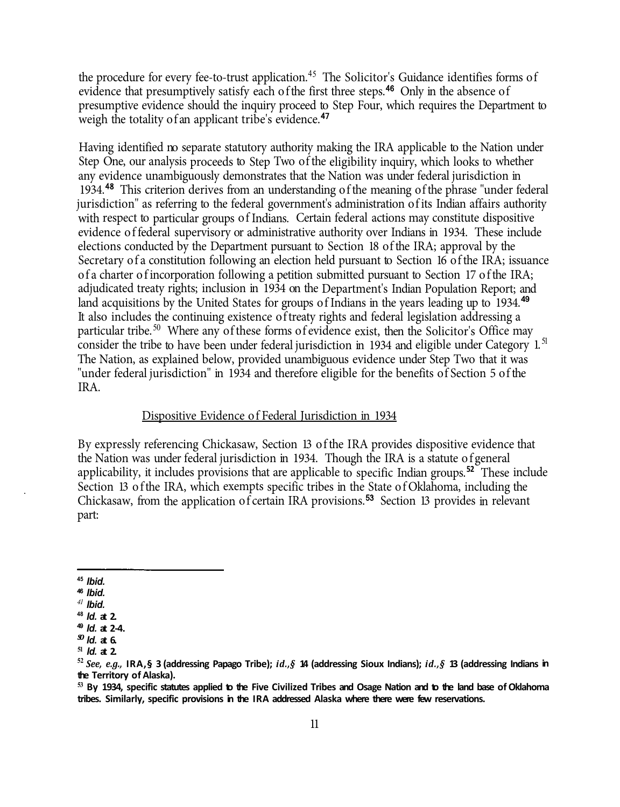the procedure for every fee-to-trust application.<sup>45</sup> The Solicitor's Guidance identifies forms of evidence that presumptively satisfy each of the first three steps.<sup>46</sup> Only in the absence of presumptive evidence should the inquiry proceed to Step Four, which requires the Department to weigh the totality of an applicant tribe's evidence.<sup>47</sup>

Having identified no separate statutory authority making the IRA applicable to the Nation under Step One, our analysis proceeds to Step Two of the eligibility inquiry, which looks to whether any evidence unambiguously demonstrates that the Nation was under federal jurisdiction in 1934.<sup>48</sup>This criterion derives from an understanding of the meaning of the phrase "under federal jurisdiction" as referring to the federal government's administration of its Indian affairs authority with respect to particular groups of Indians. Certain federal actions may constitute dispositive evidence of federal supervisory or administrative authority over Indians in 1934. These include elections conducted by the Department pursuant to Section 18 of the IRA; approval by the Secretary of a constitution following an election held pursuant to Section 16 of the IRA; issuance of a charter of incorporation following a petition submitted pursuant to Section 17 of the IRA; adjudicated treaty rights; inclusion in 1934 on the Department's Indian Population Report; and land acquisitions by the United States for groups of Indians in the years leading up to 1934.**<sup>49</sup>** It also includes the continuing existence of treaty rights and federal legislation addressing a particular tribe.<sup>50</sup> Where any of these forms of evidence exist, then the Solicitor's Office may consider the tribe to have been under federal jurisdiction in 1934 and eligible under Category 1.<sup>51</sup> The Nation, as explained below, provided unambiguous evidence under Step Two that it was "under federal jurisdiction" in 1934 and therefore eligible for the benefits of Section 5 of the IRA.

# Dispositive Evidence of Federal Jurisdiction in 1934

By expressly referencing Chickasaw, Section 13 of the IRA provides dispositive evidence that the Nation was under federal jurisdiction in 1934. Though the IRA is a statute of general applicability, it includes provisions that are applicable to specific Indian groups.<sup>52</sup>These include Section 13 of the IRA, which exempts specific tribes in the State of Oklahoma, including the Chickasaw, from the application of certain IRA provisions.<sup>53</sup> Section 13 provides in relevant part:

**<sup>53</sup>By 1934, specific statutes applied to the Five Civilized Tribes and Osage Nation and to the land base of Oklahoma tribes. Similarly, specific provisions in the IRA addressed Alaska where there were few reservations.** 

**<sup>45</sup>***Ibid.* 

<sup>46</sup>*Ibid.* 

*<sup>41</sup>Ibid.* 

**<sup>48</sup>***Id.* **at 2.** 

<sup>49</sup>*Id.* **at 2-4.** 

*so Id.* **at 6. <sup>51</sup>***Id.* **at 2.** 

**<sup>52</sup>***See, e.g.,* **IRA,§ 3 (addressing Papago Tribe);** *id.,§* **14 (addressing Sioux Indians);** *id.,§* **13 (addressing Indians in the Territory of Alaska).**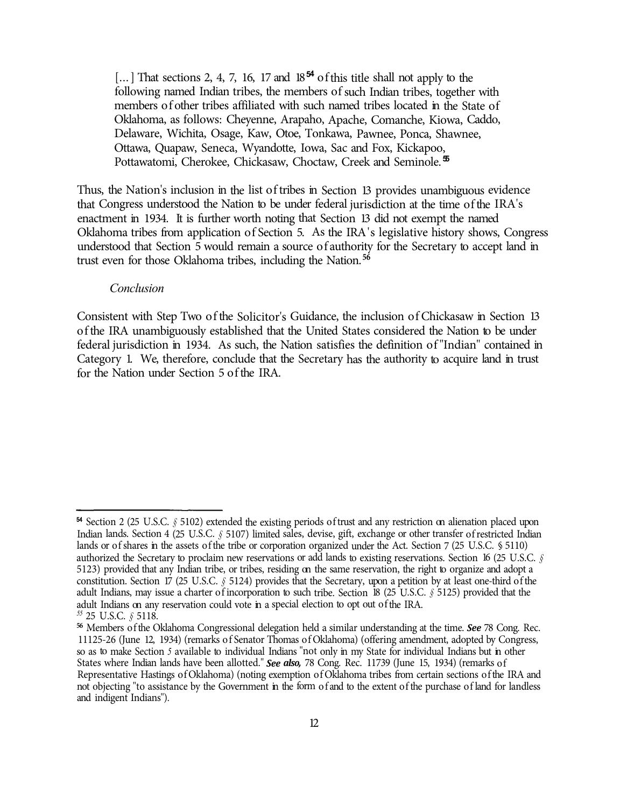[...] That sections 2, 4, 7, 16, 17 and  $18^{54}$  of this title shall not apply to the following named Indian tribes, the members of such Indian tribes, together with members of other tribes affiliated with such named tribes located in the State of Oklahoma, as follows: Cheyenne, Arapaho, Apache, Comanche, Kiowa, Caddo, Delaware, Wichita, Osage, Kaw, Otoe, Tonkawa, Pawnee, Ponca, Shawnee, Ottawa, Quapaw, Seneca, Wyandotte, Iowa, Sac and Fox, Kickapoo, Pottawatomi, Cherokee, Chickasaw, Choctaw, Creek and Seminole. **<sup>55</sup>**

Thus, the Nation's inclusion in the list of tribes in Section 13 provides unambiguous evidence that Congress understood the Nation to be under federal jurisdiction at the time of the IRA's enactment in 1934. It is further worth noting that Section 13 did not exempt the named Oklahoma tribes from application of Section 5. As the IRA 's legislative history shows, Congress understood that Section 5 would remain a source of authority for the Secretary to accept land in trust even for those Oklahoma tribes, including the Nation. **<sup>56</sup>**

#### *Conclusion*

Consistent with Step Two of the Solicitor's Guidance, the inclusion of Chickasaw in Section 13 of the IRA unambiguously established that the United States considered the Nation to be under federal jurisdiction in 1934. As such, the Nation satisfies the definition of "Indian" contained in Category 1. We, therefore, conclude that the Secretary has the authority to acquire land in trust for the Nation under Section 5 of the IRA.

<sup>54</sup> Section 2 (25 U.S.C. § 5102) extended the existing periods of trust and any restriction on alienation placed upon Indian lands. Section 4 (25 U .S.C. *§* 5107) limited sales, devise, gift, exchange or other transfer of restricted Indian lands or of shares in the assets of the tribe or corporation organized under the Act. Section 7 (25 U.S.C. § 5110) authorized the Secretary to proclaim new reservations or add lands to existing reservations. Section 16 (25 U.S.C. *§*  5123) provided that any Indian tribe, or tribes, residing on the same reservation, the right to organize and adopt a constitution. Section 17 (25 U.S.C. *§* 5124) provides that the Secretary, upon a petition by at least one-third of the adult Indians, may issue a charter of incorporation to such tribe. Section 18 (25 U .S.C. *§* 5125) provided that the adult Indians on any reservation could vote in a special election to opt out of the IRA.

*<sup>55</sup>*25 U.S.C. *§* 5118.

**<sup>56</sup>**Members of the Oklahoma Congressional delegation held a similar understanding at the time. *See* 78 Cong. Rec. 11125-26 (June 12, 1934) (remarks of Senator Thomas of Oklahoma) (offering amendment, adopted by Congress, so as to make Section *5* available to individual Indians "not only in my State for individual Indians but in other States where Indian lands have been allotted." *See also,* 78 Cong. Rec. 11739 (June 15, 1934) (remarks of Representative Hastings of Oklahoma) (noting exemption of Oklahoma tribes from certain sections of the IRA and not objecting "to assistance by the Government in the form of and to the extent of the purchase of land for landless and indigent Indians").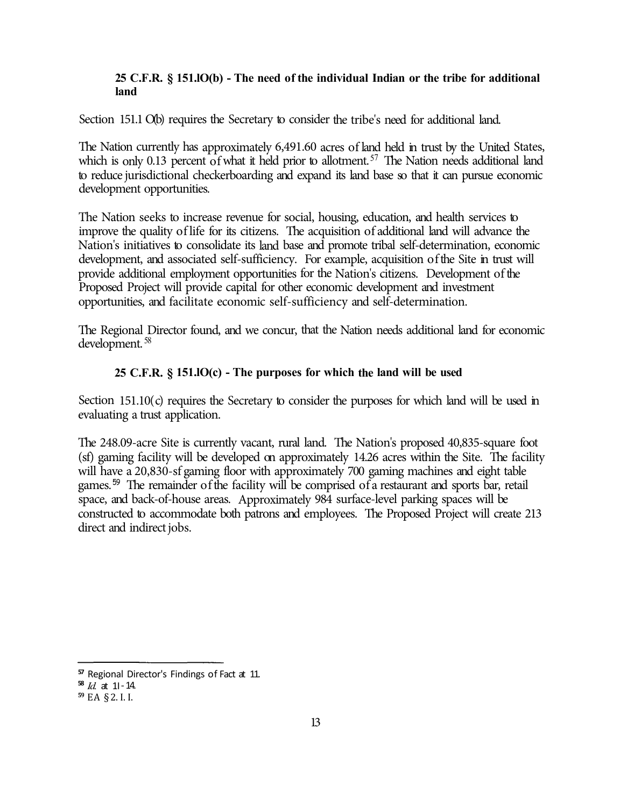## **25 C.F.R. § 151.lO(b) - The need of the individual Indian or the tribe for additional land**

Section 151.1 O(b) requires the Secretary to consider the tribe's need for additional land.

The Nation currently has approximately 6,491.60 acres of land held in trust by the United States, which is only 0.13 percent of what it held prior to allotment.<sup>57</sup> The Nation needs additional land to reduce jurisdictional checkerboarding and expand its land base so that it can pursue economic development opportunities.

The Nation seeks to increase revenue for social, housing, education, and health services to improve the quality of life for its citizens. The acquisition of additional land will advance the Nation's initiatives to consolidate its land base and promote tribal self-determination, economic development, and associated self-sufficiency. For example, acquisition of the Site in trust will provide additional employment opportunities for the Nation's citizens. Development of the Proposed Project will provide capital for other economic development and investment opportunities, and facilitate economic self-sufficiency and self-determination.

The Regional Director found, and we concur, that the Nation needs additional land for economic development. <sup>58</sup>

# **25 C.F.R. § 151.lO(c) - The purposes for which the land will be used**

Section 151.10(c) requires the Secretary to consider the purposes for which land will be used in evaluating a trust application.

The 248.09-acre Site is currently vacant, rural land. The Nation's proposed 40,835-square foot (sf) gaming facility will be developed on approximately 14.26 acres within the Site. The facility will have a 20,830-sf gaming floor with approximately 700 gaming machines and eight table games. 59 The remainder of the facility will be comprised of a restaurant and sports bar, retail space, and back-of-house areas. Approximately 984 surface-level parking spaces will be constructed to accommodate both patrons and employees. The Proposed Project will create 213 direct and indirect jobs.

**<sup>57</sup>**Regional Director's Findings of Fact at 11.

 $\frac{58}{1}$ *Id.* at 11 - 14.

**<sup>59</sup>**EA § 2. I. I.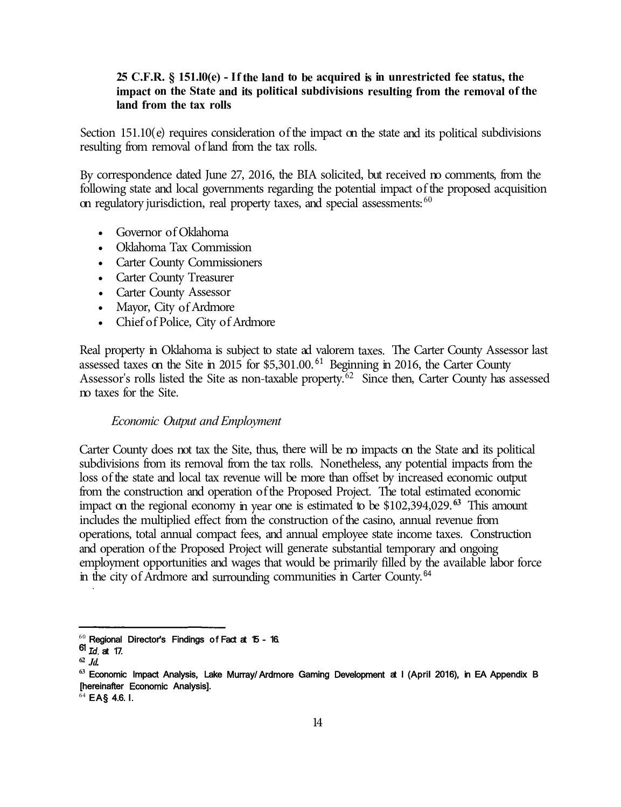## **25 C.F.R. § 151.l0(e) - If the land to be acquired is in unrestricted fee status, the impact on the State and its political subdivisions resulting from the removal of the land from the tax rolls**

Section 151.10(e) requires consideration of the impact on the state and its political subdivisions resulting from removal of land from the tax rolls.

By correspondence dated June 27, 2016, the BIA solicited, but received no comments, from the following state and local governments regarding the potential impact of the proposed acquisition on regulatory jurisdiction, real property taxes, and special assessments: <sup>60</sup>

- Governor of Oklahoma
- Oklahoma Tax Commission
- Carter County Commissioners
- Carter County Treasurer
- Carter County Assessor
- Mayor, City of Ardmore
- Chief of Police, City of Ardmore

Real property in Oklahoma is subject to state ad valorem taxes. The Carter County Assessor last assessed taxes on the Site in 2015 for  $$5,301.00$ .<sup>61</sup> Beginning in 2016, the Carter County Assessor's rolls listed the Site as non-taxable property.<sup>62</sup> Since then, Carter County has assessed no taxes for the Site.

#### *Economic Output and Employment*

Carter County does not tax the Site, thus, there will be no impacts on the State and its political subdivisions from its removal from the tax rolls. Nonetheless, any potential impacts from the loss of the state and local tax revenue will be more than offset by increased economic output from the construction and operation of the Proposed Project. The total estimated economic impact on the regional economy in year one is estimated to be \$102,394,029.**<sup>63</sup>**This amount includes the multiplied effect from the construction of the casino, annual revenue from operations, total annual compact fees, and annual employee state income taxes. Construction and operation of the Proposed Project will generate substantial temporary and ongoing employment opportunities and wages that would be primarily filled by the available labor force in the city of Ardmore and surrounding communities in Carter County.<sup>64</sup>

 $60$  Regional Director's Findings of Fact at 15 - 16.

<sup>61</sup> *Id.* at 17.

**<sup>62</sup>***Jd.* 

**<sup>63</sup>**Economic Impact Analysis, Lake Murray/ Ardmore Gaming Development at I (April 2016), in EA Appendix B [hereinafter Economic Analysis].

 $64$  EA§ 4.6. I.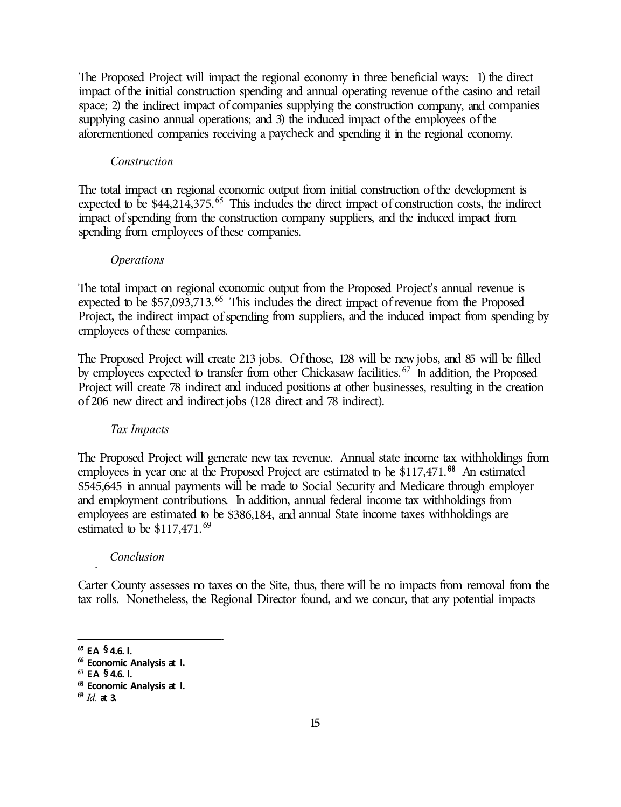The Proposed Project will impact the regional economy in three beneficial ways: 1) the direct impact of the initial construction spending and annual operating revenue of the casino and retail space; 2) the indirect impact of companies supplying the construction company, and companies supplying casino annual operations; and 3) the induced impact of the employees of the aforementioned companies receiving a paycheck and spending it in the regional economy.

#### *Construction*

The total impact on regional economic output from initial construction of the development is expected to be  $$44,214,375$ .<sup>65</sup> This includes the direct impact of construction costs, the indirect impact of spending from the construction company suppliers, and the induced impact from spending from employees of these companies.

#### *Operations*

The total impact on regional economic output from the Proposed Project's annual revenue is expected to be  $$57,093,713<sup>66</sup>$  This includes the direct impact of revenue from the Proposed Project, the indirect impact of spending from suppliers, and the induced impact from spending by employees of these companies.

The Proposed Project will create 213 jobs. Of those, 128 will be new jobs, and 85 will be filled by employees expected to transfer from other Chickasaw facilities.<sup>67</sup> In addition, the Proposed Project will create 78 indirect and induced positions at other businesses, resulting in the creation of 206 new direct and indirect jobs (128 direct and 78 indirect).

#### *Tax Impacts*

The Proposed Project will generate new tax revenue. Annual state income tax withholdings from employees in year one at the Proposed Project are estimated to be \$117,471.<sup>68</sup> An estimated \$545,645 in annual payments will be made to Social Security and Medicare through employer and employment contributions. In addition, annual federal income tax withholdings from employees are estimated to be \$386,184, and annual State income taxes withholdings are estimated to be  $$117,471.<sup>69</sup>$ 

#### *Conclusion*

Carter County assesses no taxes on the Site, thus, there will be no impacts from removal from the tax rolls. Nonetheless, the Regional Director found, and we concur, that any potential impacts

*<sup>65</sup>***EA § 4.6. l.** 

**<sup>66</sup>Economic Analysis at l.** 

**<sup>67</sup>EA § 4.6. l.** 

**<sup>68</sup>Economic Analysis at l.** 

 $69$ *Id.* **at 3.**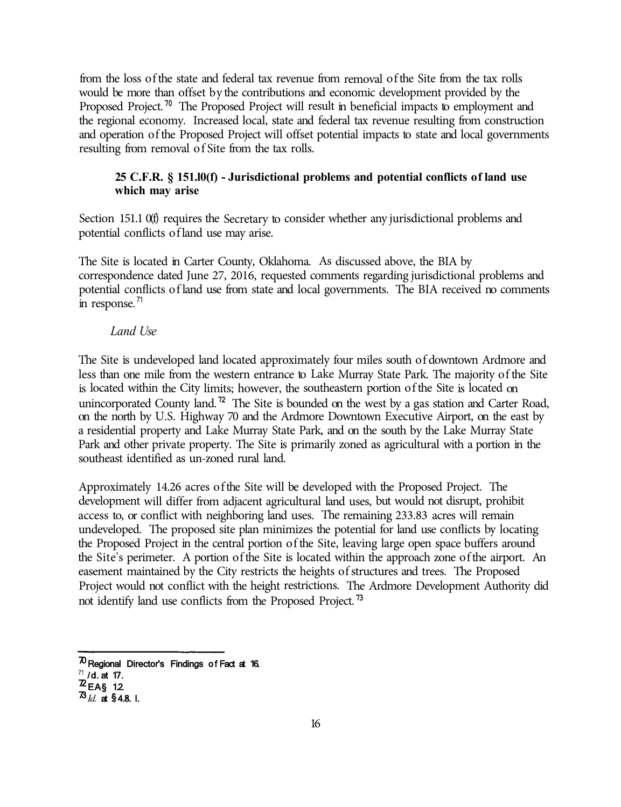from the loss of the state and federal tax revenue from removal of the Site from the tax rolls would be more than offset by the contributions and economic development provided by the Proposed Project. **70** The Proposed Project will result in beneficial impacts to employment and the regional economy. Increased local, state and federal tax revenue resulting from construction and operation of the Proposed Project will offset potential impacts to state and local governments resulting from removal of Site from the tax rolls.

# **25 C.F.R. § 151.l0(f) - Jurisdictional problems and potential conflicts of land use which may arise**

Section 151.1 0(f) requires the Secretary to consider whether any jurisdictional problems and potential conflicts of land use may arise.

The Site is located in Carter County, Oklahoma. As discussed above, the BIA by correspondence dated June 27, 2016, requested comments regarding jurisdictional problems and potential conflicts of land use from state and local governments. The BIA received no comments in response. $^{71}$ 

# *Land Use*

The Site is undeveloped land located approximately four miles south of downtown Ardmore and less than one mile from the western entrance to Lake Murray State Park. The majority of the Site is located within the City limits; however, the southeastern portion of the Site is located on unincorporated County land. **72** The Site is bounded on the west by a gas station and Carter Road, on the north by U.S. Highway 70 and the Ardmore Downtown Executive Airport, on the east by a residential property and Lake Murray State Park, and on the south by the Lake Murray State Park and other private property. The Site is primarily zoned as agricultural with a portion in the southeast identified as un-zoned rural land.

Approximately 14.26 acres of the Site will be developed with the Proposed Project. The development will differ from adjacent agricultural land uses, but would not disrupt, prohibit access to, or conflict with neighboring land uses. The remaining 233.83 acres will remain undeveloped. The proposed site plan minimizes the potential for land use conflicts by locating the Proposed Project in the central portion of the Site, leaving large open space buffers around the Site's perimeter. A portion of the Site is located within the approach zone of the airport. An easement maintained by the City restricts the heights of structures and trees. The Proposed Project would not conflict with the height restrictions. The Ardmore Development Authority did not identify land use conflicts from the Proposed Project. **<sup>73</sup>**

 $70$  Regional Director's Findings of Fact at 16.

 $^{71}$  /d. at 17.

 $\n Z_{EAS}^{\prime \, \text{m}}$  12

 $73$ <sub>*Id.* at §4.8. I.</sub>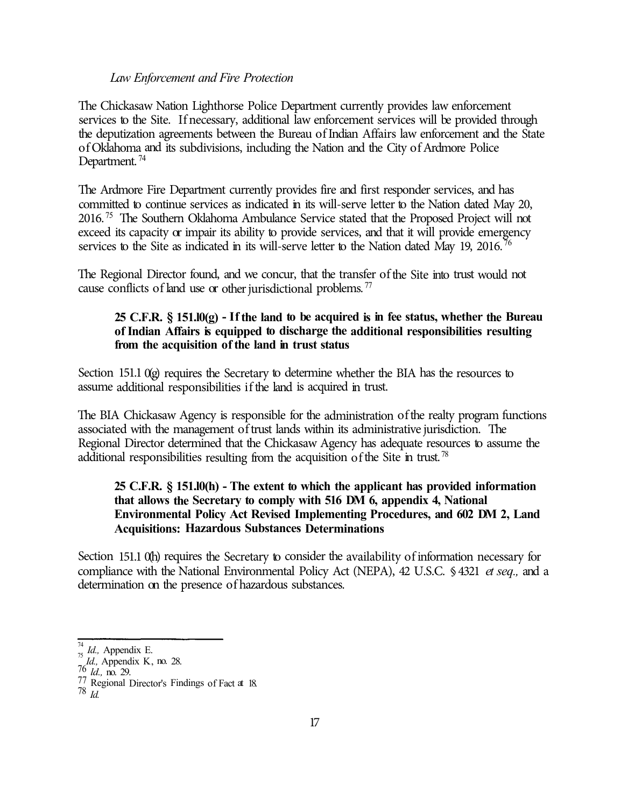#### *Law Enforcement and Fire Protection*

The Chickasaw Nation Lighthorse Police Department currently provides law enforcement services to the Site. If necessary, additional law enforcement services will be provided through the deputization agreements between the Bureau of Indian Affairs law enforcement and the State of Oklahoma and its subdivisions, including the Nation and the City of Ardmore Police Department.<sup>74</sup>

The Ardmore Fire Department currently provides fire and first responder services, and has committed to continue services as indicated in its will-serve letter to the Nation dated May 20,  $2016<sup>75</sup>$  The Southern Oklahoma Ambulance Service stated that the Proposed Project will not exceed its capacity or impair its ability to provide services, and that it will provide emergency services to the Site as indicated in its will-serve letter to the Nation dated May 19, 2016.<sup>76</sup>

The Regional Director found, and we concur, that the transfer of the Site into trust would not cause conflicts of land use or other jurisdictional problems. <sup>77</sup>

## **25 C.F.R. § 151.l0(g) - If the land to be acquired is in fee status, whether the Bureau of Indian Affairs is equipped to discharge the additional responsibilities resulting from the acquisition of the land in trust status**

Section 151.1 0(g) requires the Secretary to determine whether the BIA has the resources to assume additional responsibilities if the land is acquired in trust.

The BIA Chickasaw Agency is responsible for the administration of the realty program functions associated with the management of trust lands within its administrative jurisdiction. The Regional Director determined that the Chickasaw Agency has adequate resources to assume the additional responsibilities resulting from the acquisition of the Site in trust.  $^{78}$ 

# **25 C.F.R. § 151.l0(h) - The extent to which the applicant has provided information that allows the Secretary to comply with 516 DM 6, appendix 4, National Environmental Policy Act Revised Implementing Procedures, and 602 DM 2, Land Acquisitions: Hazardous Substances Determinations**

Section 151.1 0(h) requires the Secretary to consider the availability of information necessary for compliance with the National Environmental Policy Act (NEPA), 42 U.S.C. § 4321 *et seq.,* and a determination on the presence of hazardous substances.

76 *ld.,* no. 29.

<sup>&</sup>lt;sup>74</sup> *Id.,* Appendix E.<br><sup>75</sup> *Id.,* Appendix K, no. 28.

 $^{77}$  Regional Director's Findings of Fact at 18.

<sup>78</sup> *Id.*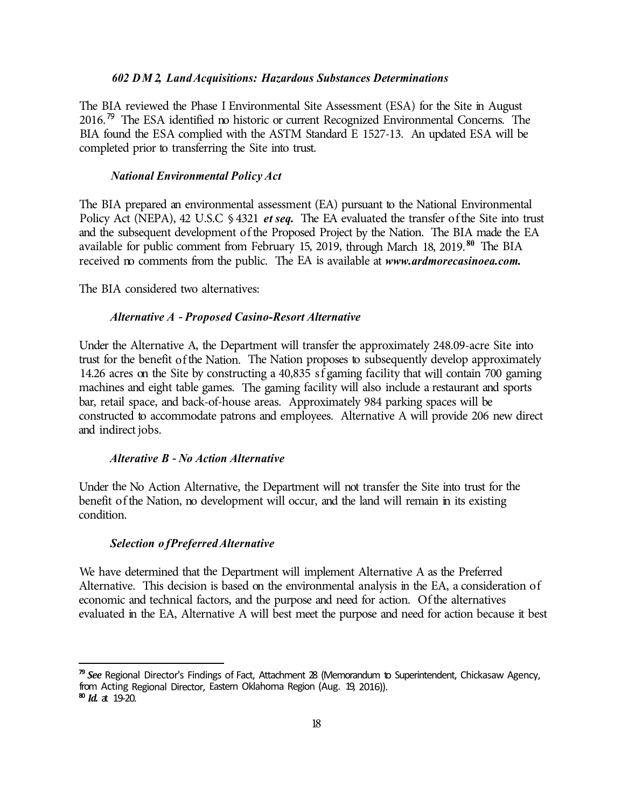continuation of tribal governance. Significantly, however, the Act curtailed the Five Tribes' autonomy by granting authority to the President of the United States to approve any ordinance, act, or resolution of a tribal council or legislature.<sup>6</sup> The Act also established that the President would play a central role in the continuity of the Five Tribes' leadership.<sup>7</sup> While Section 6 of the Five Tribes Act only authorized the President to become involved in the removal or selection of the Five Tribes' governors in limited circumstances, the governors would, in practice, not be directly elected, but rather appointed by the President or acknowledged by congressional action for much of the twentieth century. Underscoring the United States' pervasive role in exercising jurisdiction over the Nation in 1934, President Herbert Hoover directly appointed and reappointed the Nation's governor, Ben H. Dwight, to serve terms from 1930 to 1936.<sup>9</sup>

The Nation once held patented title to 4,707,081.72 acres of land.  $^{10}$  As a result of the allotment process, the Nation and its citizens lost most of their tribal lands. The Nation currently has approximately 6,491.60 acres of trust land, which is only 0.13 percent of its land prior to allotment.  $^{\text{II}}$ 

## Description of the Property

The Site is located on the southern edge of the City of Ardmore in Carter County, on U.S. Highway 70. The majority of the Site is located within the City limits; however, the southeastern portion of the Site is located on unincorporated County land.<sup>12</sup> The Nation has held the Site infee since 2015. Maps showing the location of the Site are included as Enclosure 1. The legal description of the Site is included as Enclosure 2.

Eligibility for Gaming Pursuant to the Indian Gaming Regulatory Act

Congress enacted the Indian Gaming Regulatory Act (IGRA) to provide a statutory basis for the operation of gaming by Indian tribes as a means of promoting tribal economic development, selfsufficiency, and strong tribal governments.<sup>14</sup> Section 20 of IGRA generally prohibits gaming activities on lands acquired in trust by the United States on behalf of a tribe after October 17, 1988. Congress expressly provided several exceptions to the general prohibition. One such

\*E BU f \*E BU f 4FF \$IJDBBJB& WN%GQBSG UIF \*OUFSJPS ' 4 WE O SFPD POIDJERSSB EFTODHSJOLF UBOLE TVDDFTTJPFOBRG/BLUFBRESOFISOTIMJOJFVOJPTOSTMENHFF0DNJPG 4UBU XIJDI SFEEGUGENSINURED / BUHUP WPFVSKMOEP SFXT FM FDNUFFUEF CZQ PQV MBS \*E BU 3FHJPOBM %JSTFPOGJPESDU BOEJOH  $*E$ & OW JSP ON FFOLUENT DOUB TSB X "SEELNIPSOF 'FF UP 54SFS FUOISSO WIFFORE"> f 3 FH JP O BLAWS % JS KERDESJOBHDTU BU  $4FF$  $6f4$ \$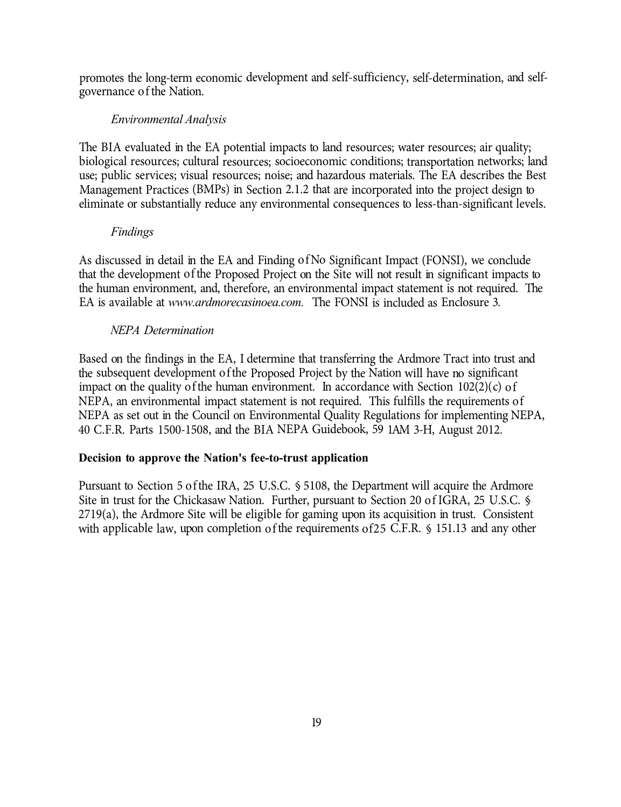promotes the long-term economic development and self-sufficiency, self-determination, and selfgovernance of the Nation.

# *Environmental Analysis*

The BIA evaluated in the EA potential impacts to land resources; water resources; air quality; biological resources; cultural resources; socioeconomic conditions; transportation networks; land use; public services; visual resources; noise; and hazardous materials. The EA describes the Best Management Practices (BMPs) in Section 2.1.2 that are incorporated into the project design to eliminate or substantially reduce any environmental consequences to less-than-significant levels.

# *Findings*

As discussed in detail in the EA and Finding of No Significant Impact (FONSI), we conclude that the development of the Proposed Project on the Site will not result in significant impacts to the human environment, and, therefore, an environmental impact statement is not required. The EA is available at *www.ardmorecasinoea.com.* The FONSI is included as Enclosure 3.

# *NEPA Determination*

Based on the findings in the EA, I determine that transferring the Ardmore Tract into trust and the subsequent development of the Proposed Project by the Nation will have no significant impact on the quality of the human environment. In accordance with Section  $102(2)(c)$  of NEPA, an environmental impact statement is not required. This fulfills the requirements of NEPA as set out in the Council on Environmental Quality Regulations for implementing NEPA, 40 C.F.R. Parts 1500-1508, and the BIA NEPA Guidebook, 59 1AM 3-H, August 2012.

# **Decision to approve the Nation's fee-to-trust application**

Pursuant to Section 5 of the IRA, 25 U.S.C. § 5108, the Department will acquire the Ardmore Site in trust for the Chickasaw Nation. Further, pursuant to Section 20 of IGRA, 25 U.S.C. § 2719(a), the Ardmore Site will be eligible for gaming upon its acquisition in trust. Consistent with applicable law, upon completion of the requirements of25 C.F.R. § 151.13 and any other